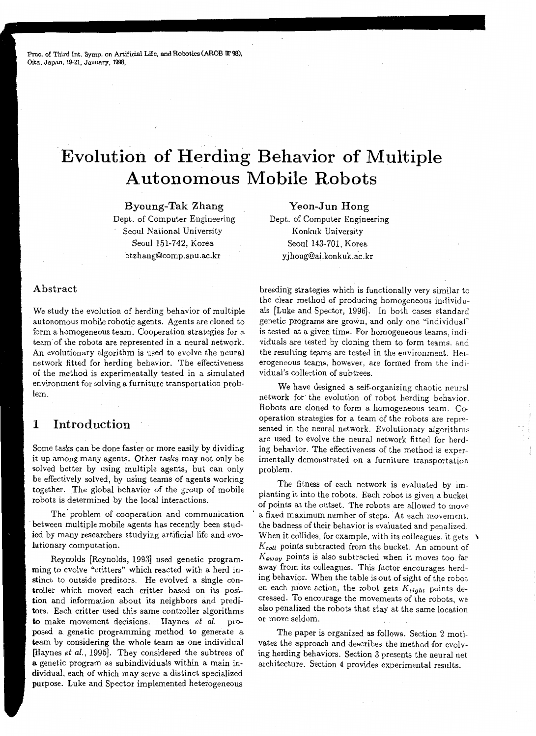Proc. of Third Int. Symp. on Artificial Life, and Robotics (AROB IIT 98), Oita, Japan, 19-21, January, 1998,

# **Evolution of Herding Behavior of Multiple Autonomous Mobile Robots**

Byoung-Tak Zhang Dept. of Computer Engineering Seoul National University Seoul 151-742, Korea btzhang@comp.snu.ac.kr

#### Abstract

We study the evolution of herding behavior of multiple autonomous mobile robotic agents. Agents are cloned to form a homogeneous team. Cooperation strategies for a team of the robots are represented in a neural network. An evolutionary algorithm is used to evolve the neural network fitted for herding behavior. The effectiveness of the method is experimentally tested in a simulated environment for solving a furniture transportation problem.

## **1 Introduction**

Some tasks can be done faster or more easily by dividing it up among many agents. Other tasks may not only be solved better by using multiple agents, but can only be effectively solved, by using teams of agents working together. The global behavior of the group of mobile robots is determined by the local interactions.

The problem of cooperation and communication -between multiple mobile agents has recently been studied by many researchers studying artificial life and evolutionary computation.

Reynolds (Reynolds, 1993] used genetic programming to evolve "critters" which reacted with a herd instinct to outside preditors. He evolved a single controller which moved each critter based on its position and information about its neighbors and preditors. Each critter used this same controller algorithms to make movement decisions. Haynes *et al.* proposed a genetic programming method to generate a team by considering the whole team as one individual [Haynes *et al.,* 1995]. They considered the subtrees of a genetic program as subindividuals within a main individual, each of which may serve a distinct specialized purpose. Luke and Spector implemented heterogeneous

Yeon-Jun Hong Dept. of Computer Engineering Konkuk University Seoul 143-701, Korea yjhong@ai.konkuk.ac.kr

breeding strategies which is functionally very similar to the clear method of producing homogeneous individuals (Luke and Spector, 1996]. In both cases standard genetic programs are grown, and only one "individual" is tested at a given time. For homogeneous teams, individuals are tested by cloning them to form teams. and the resulting teams are tested in the environment. Heterogeneous teams, however, are formed from the individual's collection of subtrees.

We have designed a self-organizing chaotic neural network for the evolution of robot herding behavior. Robots are cloned to form a homogeneous team. Cooperation strategies for a team of the robots are represented in the neural network. Evolutionary algorithms are used to evolve the neural network fitted for herding behavior. The effectiveness of the method is experimentally demonstrated on a furniture transportation problem.

The fitness of each network is evaluated by implanting it into the robots. Each robot is given a bucket of points at the outset. The robots are allowed to move a fixed maximum number of steps. At each movement. the badness of their behavior is evaluated and penalized. When it collides, for example, with its colleagues, it gets  $\lambda$ *Kco/1* points subtracted from the bucket. An amount of *Kaway* points is also subtracted when it moves too far away from its colleagues. This factor encourages herding behavior. When the table is out of sight of the robot. on each move action, the robot gets *Ksight* points decreased. To encourage the movements of the robots, we also penalized the robots that stay at the same location or move seldom.

The paper is organized as follows. Section 2 motivates the approach and describes the method for evolving herding behaviors. Section 3 presents the neural net architecture. Section 4 provides experimental results.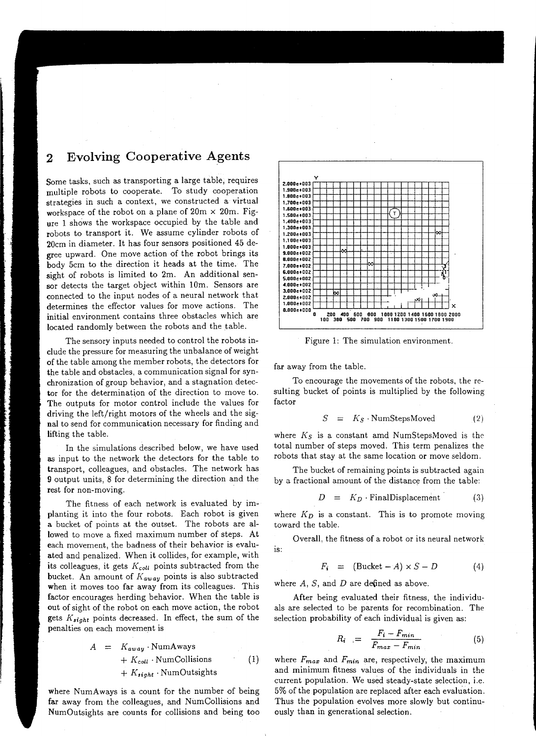# 2 Evolving Cooperative Agents

Some tasks, such as transporting a large table, requires multiple robots to cooperate. To study cooperation strategies in such a context, we constructed a virtual workspace of the robot on a plane of  $20m \times 20m$ . Figure 1 shows the workspace occupied by the table and robots to transport it. We assume cylinder robots of 20cm in diameter. It has four sensors positioned 45 degree upward. One move action of the robot brings its body 5cm to the direction it heads at the time. The sight of robots is limited to 2m. An additional sensor detects the target object within 10m. Sensors are connected to the input nodes of a neural network that determines the effector values for move actions. The initial environment contains three obstacles which are located randomly between the robots and the table.

The sensory inputs needed to control the robots include the pressure for measuring the unbalance of weight of the table among the member robots, the detectors for the table and obstacles, a communication signal for synchronization of group behavior, and a stagnation detector for the determination of the direction to move to. The outputs for motor control include the values for driving the left/right motors of the wheels and the signal to send for communication necessary for finding and lifting the table.

In the simulations described below, we have used as input to the network the detectors for the table to transport, colleagues, and obstacles. The network has 9 output units, 8 for determining the direction and the rest for non-moving.

The fitness of each network is evaluated by implanting it into the four robots. Each robot is given a bucket of points at the outset. The robots are allowed to move a fixed maximum number of steps. At each movement, the badness of their behavior is evaluated and penalized. When it collides, for example, with its colleagues, it gets  $K_{coll}$  points subtracted from the bucket. An amount of *Kaway* points is also subtracted when it moves too far away from its colleagues. This factor encourages herding behavior. When the table is out of sight of the robot on each move action, the robot gets *K•ight* points decreased. In effect, the sum of the penalties on each movement is

$$
A = K_{away} \cdot NumAways
$$
  
+  $K_{coll} \cdot NumCollisions$  (1)  
+  $K_{sight} \cdot NumOutsights$ 

where NumAways is a count for the number of being far away from the colleagues, and NumCollisions and NumOutsights are counts for collisions and being too



Figure 1: The simulation environment.

far away from the table.

To encourage the movements of the robots, the resulting bucket of points is multiplied by the following factor

$$
S = K_S \cdot NumStepsMoved \qquad (2)
$$

where *Ks* is a constant amd NumStepsMoved is the total number of steps moved. This term penalizes the robots that stay at the same location or move seldom.

The bucket of remaining points is subtracted again by a fractional amount of the distance from the table:

$$
D = K_D \cdot \text{FinalDisplacement} \tag{3}
$$

where  $K_D$  is a constant. This is to promote moving toward the table.

Overall, the fitness of a robot or its neural network IS:

$$
F_i = (\text{Backet} - A) \times S - D \tag{4}
$$

where  $A$ ,  $S$ , and  $D$  are defined as above.

After being evaluated their fitness, the individuals are selected to be parents for recombination. The selection probability of each individual is given as:

$$
R_i = \frac{F_i - F_{min}}{F_{max} - F_{min}} \tag{5}
$$

where  $F_{max}$  and  $F_{min}$  are, respectively, the maximum and minimum fitness values of the individuals in the current population. We used steady-state selection, i.e. 5% of the population are replaced after each evaluation. Thus the population evolves more slowly but continuously than in generational selection.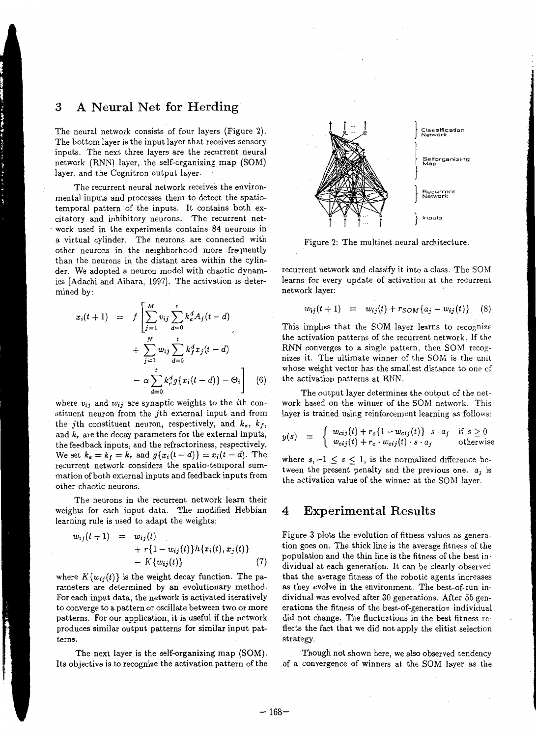## **3** A Neural Net for Herding

The neural network consists of four layers (Figure 2). The bottom layer is the input layer that receives sensory inputs. The next three layers are the recurrent neural network (RNN) layer, the self-organizing map (SOM) layer, and the Cognitron output layer.

The recurrent neural network receives the environmental inputs and processes them to detect the spatiatemporal pattern of the inputs. It contains both excitatory and inhibitory neurons. The recurrent net- . work used in the experiments contains 84 neurons in a virtual cylinder. The neurons are connected with other neurons in the neighborhood more frequently than the neurons in the distant area within the cylinder. We adopted a neuron model with chaotic dynamics (Adachi and Aihara, 1997). The activation is determined by:

$$
x_i(t+1) = f\left[\sum_{j=1}^{M} v_{ij} \sum_{d=0}^{t} k_e^d A_j(t-d) + \sum_{j=1}^{N} w_{ij} \sum_{d=0}^{t} k_f^d x_j(t-d) - \alpha \sum_{d=0}^{t} k_f^d g\{x_i(t-d)\} - \Theta_i\right]
$$
(6)

where  $v_{ij}$  and  $w_{ij}$  are synaptic weights to the *i*th constituent neuron from the jth external input and from the *j*th constituent neuron, respectively, and  $k_e$ ,  $k_f$ , and *kr* are the decay parameters for the external inputs, the feedback inputs, and the refractoriness, respectively. We set  $k_e = k_f = k_r$  and  $g\{x_i(t-d)\} = x_i(t-d)$ . The recurrent network considers the spatio-temporal summation of both external inputs and feedback inputs from other chaotic neurons.

The neurons in the recurrent network learn their weights for each input data. The modified Hebbian learning rule is used to adapt the weights:

$$
w_{ij}(t+1) = w_{ij}(t) + r\{1 - w_{ij}(t)\}h\{x_i(t), x_j(t)\} - K\{w_{ij}(t)\}
$$
\n(7)

where  $K\{w_{ij}(t)\}\)$  is the weight decay function. The parameters are determined by an evolutionary method. For each input data, the network is activated iteratively to converge to a pattern or oscillate between two or more patterns. For our application, it is useful if the network produces similar output patterns for similar input patterns.

The next layer is the self-organizing map (SOM). Its objective is to recognize the activation pattern of the



Figure 2: The multinet neural architecture.

recurrent network and classify it into a class. The SOM learns for every update of activation at the recurrent network layer:

$$
w_{ij}(t+1) = w_{ij}(t) + r_{SOM}\{a_j - w_{ij}(t)\} \quad (8)
$$

This implies that the SOM layer learns to recognize the activation patterns of the recurrent network. If the RNN converges to a single pattern, then SOM recognizes it. The ultimate winner of the SOM is the unit whose weight vector has the smallest distance to one of the activation patterns at RNN.

The output layer determines the output of the network based on the winner of the SOM network. This layer is trained using reinforcement learning as follows:

$$
y(s) = \begin{cases} w_{cij}(t) + r_c \{1 - w_{cij}(t)\} \cdot s \cdot a_j & \text{if } s \geq 0\\ w_{cij}(t) + r_c \cdot w_{cij}(t) \cdot s \cdot a_j & \text{otherwise} \end{cases}
$$

where  $s, -1 \leq s \leq 1$ , is the normalized difference between the present penalty and the previous one.  $a_i$  is the activation value of the winner at the SOM layer.

#### **4 Experimental Results**

Figure 3 plots the evolution of fitness values as generation goes on. The thick line is the average fitness of the population and the thin line is the fitness of the best individual at each generation. It can be clearly observed that the average fitness of the robotic agents increases as they evolve in the environment. The best-of-run individual was evolved after 30 generations. After 55 generations the fitness of the best-of-generation individual did not change. The fluctuations in the best fitness reflects the fact that we did not apply the elitist selection strategy.

Though not shown here, we also observed tendency of a convergence of winners at the SOM layer as the